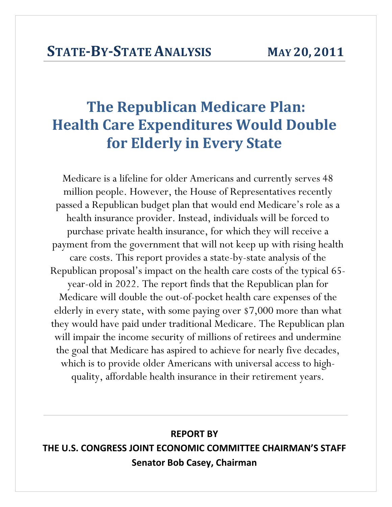# **The Republican Medicare Plan: Health Care Expenditures Would Double for Elderly in Every State**

Medicare is a lifeline for older Americans and currently serves 48 million people. However, the House of Representatives recently passed a Republican budget plan that would end Medicare's role as a health insurance provider. Instead, individuals will be forced to purchase private health insurance, for which they will receive a payment from the government that will not keep up with rising health care costs. This report provides a state-by-state analysis of the Republican proposal's impact on the health care costs of the typical 65 year-old in 2022. The report finds that the Republican plan for Medicare will double the out-of-pocket health care expenses of the elderly in every state, with some paying over \$7,000 more than what they would have paid under traditional Medicare. The Republican plan will impair the income security of millions of retirees and undermine the goal that Medicare has aspired to achieve for nearly five decades, which is to provide older Americans with universal access to highquality, affordable health insurance in their retirement years.

# **REPORT BY THE U.S. CONGRESS JOINT ECONOMIC COMMITTEE CHAIRMAN'S STAFF Senator Bob Casey, Chairman**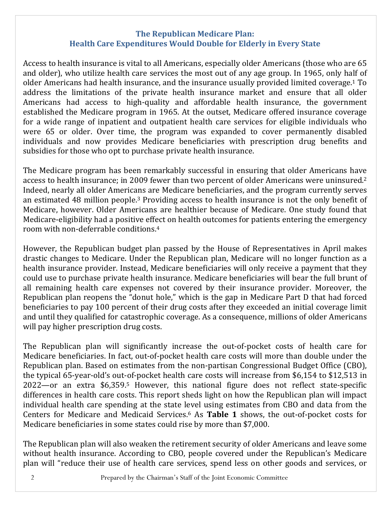## **The Republican Medicare Plan: Health Care Expenditures Would Double for Elderly in Every State**

Access to health insurance is vital to all Americans, especially older Americans (those who are 65 and older), who utilize health care services the most out of any age group. In 1965, only half of older Americans had health insurance, and the insurance usually provided limited coverage.<sup>1</sup> To address the limitations of the private health insurance market and ensure that all older Americans had access to high-quality and affordable health insurance, the government established the Medicare program in 1965. At the outset, Medicare offered insurance coverage for a wide range of inpatient and outpatient health care services for eligible individuals who were 65 or older. Over time, the program was expanded to cover permanently disabled individuals and now provides Medicare beneficiaries with prescription drug benefits and subsidies for those who opt to purchase private health insurance.

The Medicare program has been remarkably successful in ensuring that older Americans have access to health insurance; in 2009 fewer than two percent of older Americans were uninsured.<sup>2</sup> Indeed, nearly all older Americans are Medicare beneficiaries, and the program currently serves an estimated 48 million people.<sup>3</sup> Providing access to health insurance is not the only benefit of Medicare, however. Older Americans are healthier because of Medicare. One study found that Medicare-eligibility had a positive effect on health outcomes for patients entering the emergency room with non-deferrable conditions.<sup>4</sup>

However, the Republican budget plan passed by the House of Representatives in April makes drastic changes to Medicare. Under the Republican plan, Medicare will no longer function as a health insurance provider. Instead, Medicare beneficiaries will only receive a payment that they could use to purchase private health insurance. Medicare beneficiaries will bear the full brunt of all remaining health care expenses not covered by their insurance provider. Moreover, the Republican plan reopens the "donut hole," which is the gap in Medicare Part D that had forced beneficiaries to pay 100 percent of their drug costs after they exceeded an initial coverage limit and until they qualified for catastrophic coverage. As a consequence, millions of older Americans will pay higher prescription drug costs.

The Republican plan will significantly increase the out-of-pocket costs of health care for Medicare beneficiaries. In fact, out-of-pocket health care costs will more than double under the Republican plan. Based on estimates from the non-partisan Congressional Budget Office (CBO), the typical  $65$ -year-old's out-of-pocket health care costs will increase from \$6,154 to \$12,513 in  $2022$ —or an extra \$6,359.<sup>5</sup> However, this national figure does not reflect state-specific differences in health care costs. This report sheds light on how the Republican plan will impact individual health care spending at the state level using estimates from CBO and data from the Centers for Medicare and Medicaid Services.<sup>6</sup> As Table 1 shows, the out-of-pocket costs for Medicare beneficiaries in some states could rise by more than \$7,000.

The Republican plan will also weaken the retirement security of older Americans and leave some without health insurance. According to CBO, people covered under the Republican's Medicare plan will "reduce their use of health care services, spend less on other goods and services, or

2 Prepared by the Chairman's Staff of the Joint Economic Committee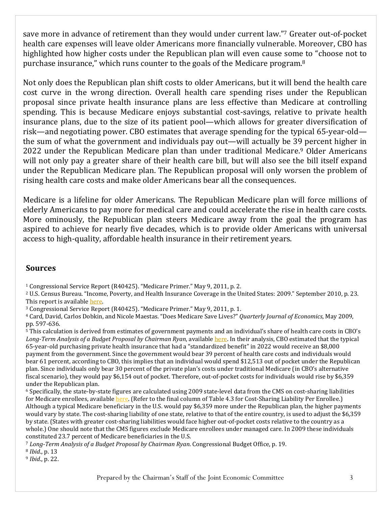save more in advance of retirement than they would under current law."7 Greater out-of-pocket health care expenses will leave older Americans more financially vulnerable. Moreover, CBO has highlighted how higher costs under the Republican plan will even cause some to "choose not to purchase insurance," which runs counter to the goals of the Medicare program.<sup>8</sup>

Not only does the Republican plan shift costs to older Americans, but it will bend the health care cost curve in the wrong direction. Overall health care spending rises under the Republican proposal since private health insurance plans are less effective than Medicare at controlling spending. This is because Medicare enjoys substantial cost-savings, relative to private health insurance plans, due to the size of its patient pool—which allows for greater diversification of risk—and negotiating power. CBO estimates that average spending for the typical  $65$ -year-old the sum of what the government and individuals pay out—will actually be 39 percent higher in 2022 under the Republican Medicare plan than under traditional Medicare.<sup>9</sup> Older Americans will not only pay a greater share of their health care bill, but will also see the bill itself expand under the Republican Medicare plan. The Republican proposal will only worsen the problem of rising health care costs and make older Americans bear all the consequences.

Medicare is a lifeline for older Americans. The Republican Medicare plan will force millions of elderly Americans to pay more for medical care and could accelerate the rise in health care costs. More ominously, the Republican plan steers Medicare away from the goal the program has aspired to achieve for nearly five decades, which is to provide older Americans with universal access to high-quality, affordable health insurance in their retirement years.

### **Sources**

<sup>1</sup> Congressional Service Report (R40425). "Medicare Primer." May 9, 2011, p. 2.

<sup>2</sup> U.S. Census Bureau. "Income, Poverty, and Health Insurance Coverage in the United States: 2009." September 2010, p. 23. This report is available here.

<sup>3</sup> Congressional Service Report (R40425). "Medicare Primer." May 9, 2011, p. 1.

4 Card, David, Carlos Dobkin, and Nicole Maestas. "Does Medicare Save Lives?" *Quarterly Journal of Economics*, May 2009, pp. 597‐636. 

<sup>5</sup> This calculation is derived from estimates of government payments and an individual's share of health care costs in CBO's *Long‐Term Analysis of a Budget Proposal by Chairman Ryan*, available here. In their analysis, CBO estimated that the typical 65-year-old purchasing private health insurance that had a "standardized benefit" in 2022 would receive an \$8,000 payment from the government. Since the government would bear 39 percent of health care costs and individuals would bear 61 percent, according to CBO, this implies that an individual would spend \$12,513 out of pocket under the Republican plan. Since individuals only bear 30 percent of the private plan's costs under traditional Medicare (in CBO's alternative fiscal scenario), they would pay \$6,154 out of pocket. Therefore, out-of-pocket costs for individuals would rise by \$6,359 under the Republican plan.

 $6$  Specifically, the state-by-state figures are calculated using 2009 state-level data from the CMS on cost-sharing liabilities for Medicare enrollees, available here. (Refer to the final column of Table 4.3 for Cost-Sharing Liability Per Enrollee.) Although a typical Medicare beneficiary in the U.S. would pay \$6,359 more under the Republican plan, the higher payments would vary by state. The cost-sharing liability of one state, relative to that of the entire country, is used to adjust the \$6,359 by state. (States with greater cost-sharing liabilities would face higher out-of-pocket costs relative to the country as a whole.) One should note that the CMS figures exclude Medicare enrollees under managed care. In 2009 these individuals constituted 23.7 percent of Medicare beneficiaries in the U.S.

<sup>7</sup> *Long‐Term Analysis of a Budget Proposal by Chairman Ryan*. Congressional Budget Office, p. 19. 

<sup>8</sup> *Ibid.*, p. 13

<sup>9</sup> *Ibid.*, p. 22.

Prepared by the Chairman's Staff of the Joint Economic Committee 3